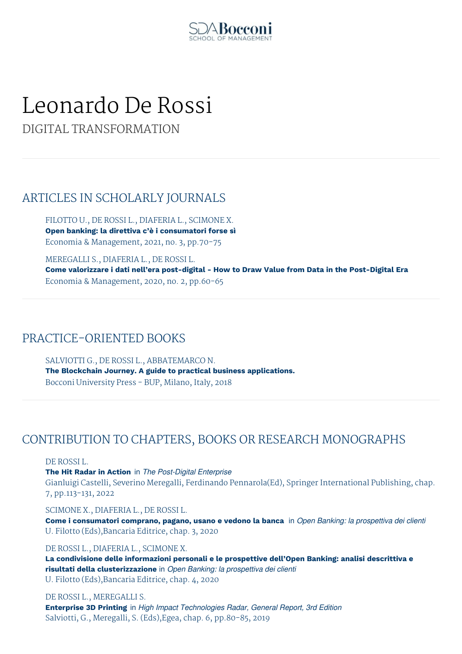

# Leonardo De Rossi

DIGITAL TRANSFORMATION

# ARTICLES IN SCHOLARLY JOURNALS

FILOTTO U., DE ROSSI L., DIAFERIA L., SCIMONE X. **Open banking: la direttiva c'è i consumatori forse sì** Economia & Management, 2021, no. 3, pp.70-75

MEREGALLI S., DIAFERIA L., DE ROSSI L. **Come valorizzare i dati nell'era post-digital - How to Draw Value from Data in the Post-Digital Era** Economia & Management, 2020, no. 2, pp.60-65

# PRACTICE-ORIENTED BOOKS

SALVIOTTI G., DE ROSSI L., ABBATEMARCO N. **The Blockchain Journey. A guide to practical business applications.** Bocconi University Press - BUP, Milano, Italy, 2018

# CONTRIBUTION TO CHAPTERS, BOOKS OR RESEARCH MONOGRAPHS

DE ROSSI L.

**The Hit Radar in Action** in *The Post-Digital Enterprise* Gianluigi Castelli, Severino Meregalli, Ferdinando Pennarola(Ed), Springer International Publishing, chap. 7, pp.113-131, 2022

## SCIMONE X., DIAFERIA L., DE ROSSI L.

**Come i consumatori comprano, pagano, usano e vedono la banca** in *Open Banking: la prospettiva dei clienti* U. Filotto (Eds),Bancaria Editrice, chap. 3, 2020

## DE ROSSI L., DIAFERIA L., SCIMONE X.

**La condivisione delle informazioni personali e le prospettive dell'Open Banking: analisi descrittiva e risultati della clusterizzazione** in *Open Banking: la prospettiva dei clienti* U. Filotto (Eds),Bancaria Editrice, chap. 4, 2020

DE ROSSI L., MEREGALLI S. **Enterprise 3D Printing** in *High Impact Technologies Radar, General Report, 3rd Edition* Salviotti, G., Meregalli, S. (Eds),Egea, chap. 6, pp.80-85, 2019